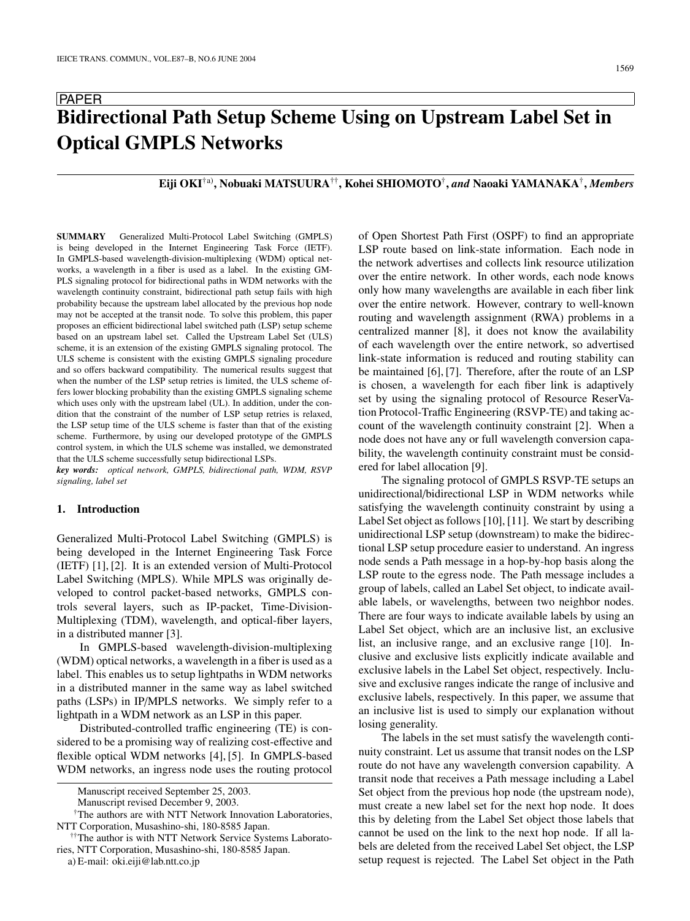#### 1569

# PAPER **Bidirectional Path Setup Scheme Using on Upstream Label Set in Optical GMPLS Networks**

# **Eiji OKI**†a)**, Nobuaki MATSUURA**††**, Kohei SHIOMOTO**†**,** *and* **Naoaki YAMANAKA**†**,** *Members*

**SUMMARY** Generalized Multi-Protocol Label Switching (GMPLS) is being developed in the Internet Engineering Task Force (IETF). In GMPLS-based wavelength-division-multiplexing (WDM) optical networks, a wavelength in a fiber is used as a label. In the existing GM-PLS signaling protocol for bidirectional paths in WDM networks with the wavelength continuity constraint, bidirectional path setup fails with high probability because the upstream label allocated by the previous hop node may not be accepted at the transit node. To solve this problem, this paper proposes an efficient bidirectional label switched path (LSP) setup scheme based on an upstream label set. Called the Upstream Label Set (ULS) scheme, it is an extension of the existing GMPLS signaling protocol. The ULS scheme is consistent with the existing GMPLS signaling procedure and so offers backward compatibility. The numerical results suggest that when the number of the LSP setup retries is limited, the ULS scheme offers lower blocking probability than the existing GMPLS signaling scheme which uses only with the upstream label (UL). In addition, under the condition that the constraint of the number of LSP setup retries is relaxed, the LSP setup time of the ULS scheme is faster than that of the existing scheme. Furthermore, by using our developed prototype of the GMPLS control system, in which the ULS scheme was installed, we demonstrated that the ULS scheme successfully setup bidirectional LSPs.

*key words: optical network, GMPLS, bidirectional path, WDM, RSVP signaling, label set*

## **1. Introduction**

Generalized Multi-Protocol Label Switching (GMPLS) is being developed in the Internet Engineering Task Force (IETF) [1], [2]. It is an extended version of Multi-Protocol Label Switching (MPLS). While MPLS was originally developed to control packet-based networks, GMPLS controls several layers, such as IP-packet, Time-Division-Multiplexing (TDM), wavelength, and optical-fiber layers, in a distributed manner [3].

In GMPLS-based wavelength-division-multiplexing (WDM) optical networks, a wavelength in a fiber is used as a label. This enables us to setup lightpaths in WDM networks in a distributed manner in the same way as label switched paths (LSPs) in IP/MPLS networks. We simply refer to a lightpath in a WDM network as an LSP in this paper.

Distributed-controlled traffic engineering (TE) is considered to be a promising way of realizing cost-effective and flexible optical WDM networks [4], [5]. In GMPLS-based WDM networks, an ingress node uses the routing protocol of Open Shortest Path First (OSPF) to find an appropriate LSP route based on link-state information. Each node in the network advertises and collects link resource utilization over the entire network. In other words, each node knows only how many wavelengths are available in each fiber link over the entire network. However, contrary to well-known routing and wavelength assignment (RWA) problems in a centralized manner [8], it does not know the availability of each wavelength over the entire network, so advertised link-state information is reduced and routing stability can be maintained [6], [7]. Therefore, after the route of an LSP is chosen, a wavelength for each fiber link is adaptively set by using the signaling protocol of Resource ReserVation Protocol-Traffic Engineering (RSVP-TE) and taking account of the wavelength continuity constraint [2]. When a node does not have any or full wavelength conversion capability, the wavelength continuity constraint must be considered for label allocation [9].

The signaling protocol of GMPLS RSVP-TE setups an unidirectional/bidirectional LSP in WDM networks while satisfying the wavelength continuity constraint by using a Label Set object as follows [10], [11]. We start by describing unidirectional LSP setup (downstream) to make the bidirectional LSP setup procedure easier to understand. An ingress node sends a Path message in a hop-by-hop basis along the LSP route to the egress node. The Path message includes a group of labels, called an Label Set object, to indicate available labels, or wavelengths, between two neighbor nodes. There are four ways to indicate available labels by using an Label Set object, which are an inclusive list, an exclusive list, an inclusive range, and an exclusive range [10]. Inclusive and exclusive lists explicitly indicate available and exclusive labels in the Label Set object, respectively. Inclusive and exclusive ranges indicate the range of inclusive and exclusive labels, respectively. In this paper, we assume that an inclusive list is used to simply our explanation without losing generality.

The labels in the set must satisfy the wavelength continuity constraint. Let us assume that transit nodes on the LSP route do not have any wavelength conversion capability. A transit node that receives a Path message including a Label Set object from the previous hop node (the upstream node), must create a new label set for the next hop node. It does this by deleting from the Label Set object those labels that cannot be used on the link to the next hop node. If all labels are deleted from the received Label Set object, the LSP setup request is rejected. The Label Set object in the Path

Manuscript received September 25, 2003.

Manuscript revised December 9, 2003.

<sup>†</sup>The authors are with NTT Network Innovation Laboratories, NTT Corporation, Musashino-shi, 180-8585 Japan.

<sup>††</sup>The author is with NTT Network Service Systems Laboratories, NTT Corporation, Musashino-shi, 180-8585 Japan.

a) E-mail: oki.eiji@lab.ntt.co.jp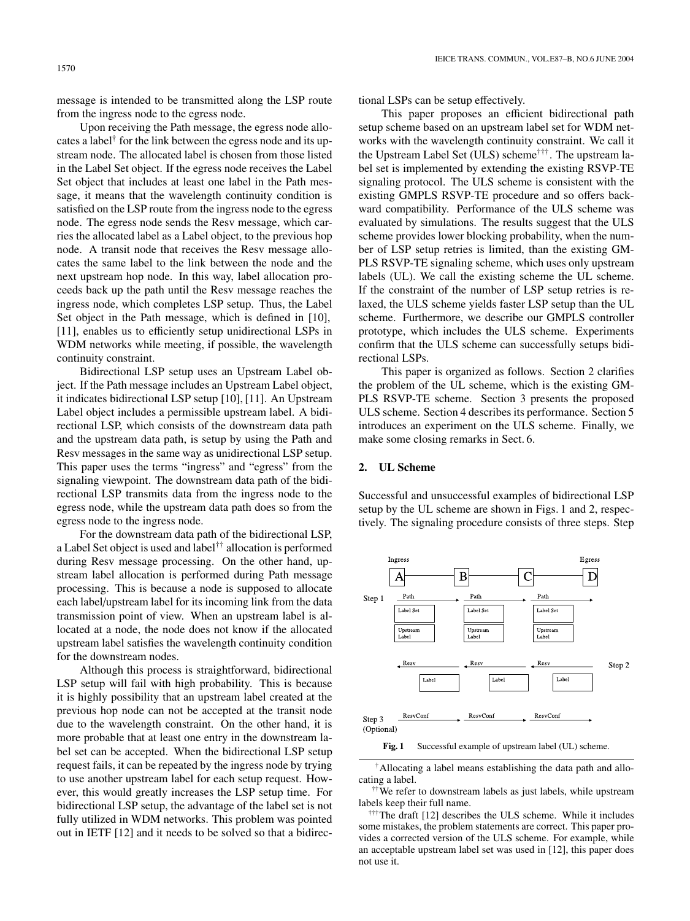message is intended to be transmitted along the LSP route from the ingress node to the egress node.

Upon receiving the Path message, the egress node allocates a label† for the link between the egress node and its upstream node. The allocated label is chosen from those listed in the Label Set object. If the egress node receives the Label Set object that includes at least one label in the Path message, it means that the wavelength continuity condition is satisfied on the LSP route from the ingress node to the egress node. The egress node sends the Resv message, which carries the allocated label as a Label object, to the previous hop node. A transit node that receives the Resv message allocates the same label to the link between the node and the next upstream hop node. In this way, label allocation proceeds back up the path until the Resv message reaches the ingress node, which completes LSP setup. Thus, the Label Set object in the Path message, which is defined in [10], [11], enables us to efficiently setup unidirectional LSPs in WDM networks while meeting, if possible, the wavelength continuity constraint.

Bidirectional LSP setup uses an Upstream Label object. If the Path message includes an Upstream Label object, it indicates bidirectional LSP setup [10], [11]. An Upstream Label object includes a permissible upstream label. A bidirectional LSP, which consists of the downstream data path and the upstream data path, is setup by using the Path and Resv messages in the same way as unidirectional LSP setup. This paper uses the terms "ingress" and "egress" from the signaling viewpoint. The downstream data path of the bidirectional LSP transmits data from the ingress node to the egress node, while the upstream data path does so from the egress node to the ingress node.

For the downstream data path of the bidirectional LSP, a Label Set object is used and label†† allocation is performed during Resv message processing. On the other hand, upstream label allocation is performed during Path message processing. This is because a node is supposed to allocate each label/upstream label for its incoming link from the data transmission point of view. When an upstream label is allocated at a node, the node does not know if the allocated upstream label satisfies the wavelength continuity condition for the downstream nodes.

Although this process is straightforward, bidirectional LSP setup will fail with high probability. This is because it is highly possibility that an upstream label created at the previous hop node can not be accepted at the transit node due to the wavelength constraint. On the other hand, it is more probable that at least one entry in the downstream label set can be accepted. When the bidirectional LSP setup request fails, it can be repeated by the ingress node by trying to use another upstream label for each setup request. However, this would greatly increases the LSP setup time. For bidirectional LSP setup, the advantage of the label set is not fully utilized in WDM networks. This problem was pointed out in IETF [12] and it needs to be solved so that a bidirectional LSPs can be setup effectively.

This paper proposes an efficient bidirectional path setup scheme based on an upstream label set for WDM networks with the wavelength continuity constraint. We call it the Upstream Label Set (ULS) scheme†††. The upstream label set is implemented by extending the existing RSVP-TE signaling protocol. The ULS scheme is consistent with the existing GMPLS RSVP-TE procedure and so offers backward compatibility. Performance of the ULS scheme was evaluated by simulations. The results suggest that the ULS scheme provides lower blocking probability, when the number of LSP setup retries is limited, than the existing GM-PLS RSVP-TE signaling scheme, which uses only upstream labels (UL). We call the existing scheme the UL scheme. If the constraint of the number of LSP setup retries is relaxed, the ULS scheme yields faster LSP setup than the UL scheme. Furthermore, we describe our GMPLS controller prototype, which includes the ULS scheme. Experiments confirm that the ULS scheme can successfully setups bidirectional LSPs.

This paper is organized as follows. Section 2 clarifies the problem of the UL scheme, which is the existing GM-PLS RSVP-TE scheme. Section 3 presents the proposed ULS scheme. Section 4 describes its performance. Section 5 introduces an experiment on the ULS scheme. Finally, we make some closing remarks in Sect. 6.

#### **2. UL Scheme**

Successful and unsuccessful examples of bidirectional LSP setup by the UL scheme are shown in Figs. 1 and 2, respectively. The signaling procedure consists of three steps. Step



**Fig. 1** Successful example of upstream label (UL) scheme.

†Allocating a label means establishing the data path and allocating a label.

††We refer to downstream labels as just labels, while upstream labels keep their full name.

†††The draft [12] describes the ULS scheme. While it includes some mistakes, the problem statements are correct. This paper provides a corrected version of the ULS scheme. For example, while an acceptable upstream label set was used in [12], this paper does not use it.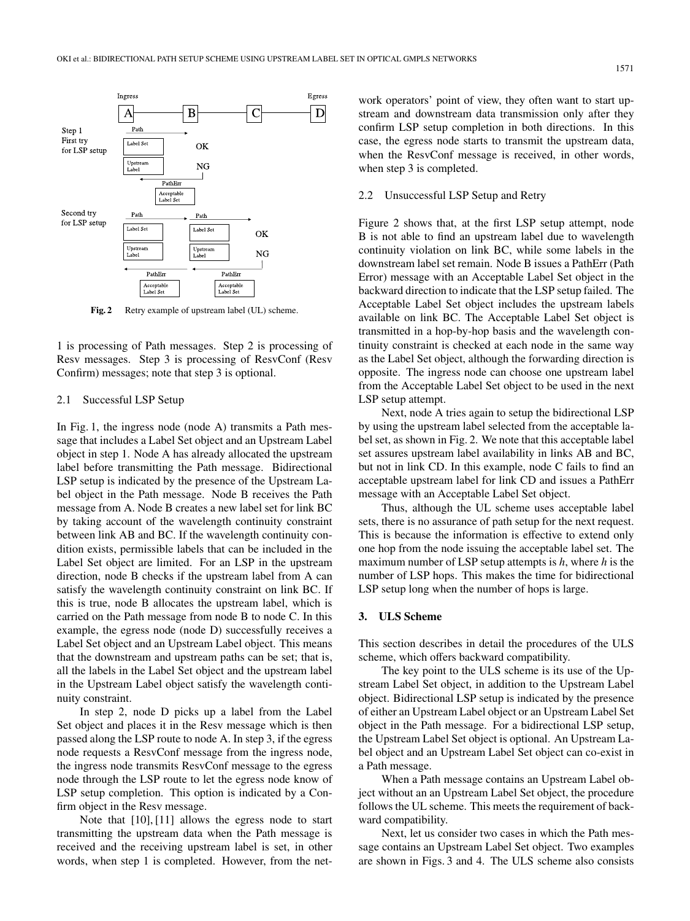

**Fig. 2** Retry example of upstream label (UL) scheme.

1 is processing of Path messages. Step 2 is processing of Resv messages. Step 3 is processing of ResvConf (Resv Confirm) messages; note that step 3 is optional.

#### 2.1 Successful LSP Setup

In Fig. 1, the ingress node (node A) transmits a Path message that includes a Label Set object and an Upstream Label object in step 1. Node A has already allocated the upstream label before transmitting the Path message. Bidirectional LSP setup is indicated by the presence of the Upstream Label object in the Path message. Node B receives the Path message from A. Node B creates a new label set for link BC by taking account of the wavelength continuity constraint between link AB and BC. If the wavelength continuity condition exists, permissible labels that can be included in the Label Set object are limited. For an LSP in the upstream direction, node B checks if the upstream label from A can satisfy the wavelength continuity constraint on link BC. If this is true, node B allocates the upstream label, which is carried on the Path message from node B to node C. In this example, the egress node (node D) successfully receives a Label Set object and an Upstream Label object. This means that the downstream and upstream paths can be set; that is, all the labels in the Label Set object and the upstream label in the Upstream Label object satisfy the wavelength continuity constraint.

In step 2, node D picks up a label from the Label Set object and places it in the Resv message which is then passed along the LSP route to node A. In step 3, if the egress node requests a ResvConf message from the ingress node, the ingress node transmits ResvConf message to the egress node through the LSP route to let the egress node know of LSP setup completion. This option is indicated by a Confirm object in the Resv message.

Note that [10], [11] allows the egress node to start transmitting the upstream data when the Path message is received and the receiving upstream label is set, in other words, when step 1 is completed. However, from the network operators' point of view, they often want to start upstream and downstream data transmission only after they confirm LSP setup completion in both directions. In this case, the egress node starts to transmit the upstream data, when the ResvConf message is received, in other words, when step 3 is completed.

#### 2.2 Unsuccessful LSP Setup and Retry

Figure 2 shows that, at the first LSP setup attempt, node B is not able to find an upstream label due to wavelength continuity violation on link BC, while some labels in the downstream label set remain. Node B issues a PathErr (Path Error) message with an Acceptable Label Set object in the backward direction to indicate that the LSP setup failed. The Acceptable Label Set object includes the upstream labels available on link BC. The Acceptable Label Set object is transmitted in a hop-by-hop basis and the wavelength continuity constraint is checked at each node in the same way as the Label Set object, although the forwarding direction is opposite. The ingress node can choose one upstream label from the Acceptable Label Set object to be used in the next LSP setup attempt.

Next, node A tries again to setup the bidirectional LSP by using the upstream label selected from the acceptable label set, as shown in Fig. 2. We note that this acceptable label set assures upstream label availability in links AB and BC, but not in link CD. In this example, node C fails to find an acceptable upstream label for link CD and issues a PathErr message with an Acceptable Label Set object.

Thus, although the UL scheme uses acceptable label sets, there is no assurance of path setup for the next request. This is because the information is effective to extend only one hop from the node issuing the acceptable label set. The maximum number of LSP setup attempts is *h*, where *h* is the number of LSP hops. This makes the time for bidirectional LSP setup long when the number of hops is large.

#### **3. ULS Scheme**

This section describes in detail the procedures of the ULS scheme, which offers backward compatibility.

The key point to the ULS scheme is its use of the Upstream Label Set object, in addition to the Upstream Label object. Bidirectional LSP setup is indicated by the presence of either an Upstream Label object or an Upstream Label Set object in the Path message. For a bidirectional LSP setup, the Upstream Label Set object is optional. An Upstream Label object and an Upstream Label Set object can co-exist in a Path message.

When a Path message contains an Upstream Label object without an an Upstream Label Set object, the procedure follows the UL scheme. This meets the requirement of backward compatibility.

Next, let us consider two cases in which the Path message contains an Upstream Label Set object. Two examples are shown in Figs. 3 and 4. The ULS scheme also consists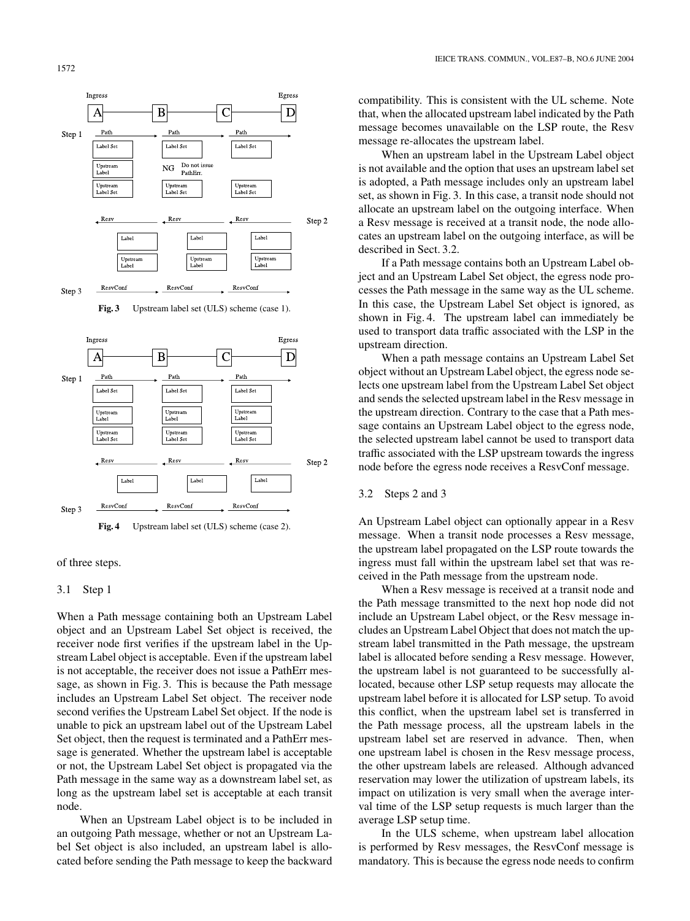1572







#### 3.1 Step 1

When a Path message containing both an Upstream Label object and an Upstream Label Set object is received, the receiver node first verifies if the upstream label in the Upstream Label object is acceptable. Even if the upstream label is not acceptable, the receiver does not issue a PathErr message, as shown in Fig. 3. This is because the Path message includes an Upstream Label Set object. The receiver node second verifies the Upstream Label Set object. If the node is unable to pick an upstream label out of the Upstream Label Set object, then the request is terminated and a PathErr message is generated. Whether the upstream label is acceptable or not, the Upstream Label Set object is propagated via the Path message in the same way as a downstream label set, as long as the upstream label set is acceptable at each transit node.

When an Upstream Label object is to be included in an outgoing Path message, whether or not an Upstream Label Set object is also included, an upstream label is allocated before sending the Path message to keep the backward compatibility. This is consistent with the UL scheme. Note that, when the allocated upstream label indicated by the Path message becomes unavailable on the LSP route, the Resv message re-allocates the upstream label.

When an upstream label in the Upstream Label object is not available and the option that uses an upstream label set is adopted, a Path message includes only an upstream label set, as shown in Fig. 3. In this case, a transit node should not allocate an upstream label on the outgoing interface. When a Resv message is received at a transit node, the node allocates an upstream label on the outgoing interface, as will be described in Sect. 3.2.

If a Path message contains both an Upstream Label object and an Upstream Label Set object, the egress node processes the Path message in the same way as the UL scheme. In this case, the Upstream Label Set object is ignored, as shown in Fig. 4. The upstream label can immediately be used to transport data traffic associated with the LSP in the upstream direction.

When a path message contains an Upstream Label Set object without an Upstream Label object, the egress node selects one upstream label from the Upstream Label Set object and sends the selected upstream label in the Resv message in the upstream direction. Contrary to the case that a Path message contains an Upstream Label object to the egress node, the selected upstream label cannot be used to transport data traffic associated with the LSP upstream towards the ingress node before the egress node receives a ResvConf message.

## 3.2 Steps 2 and 3

An Upstream Label object can optionally appear in a Resv message. When a transit node processes a Resv message, the upstream label propagated on the LSP route towards the ingress must fall within the upstream label set that was received in the Path message from the upstream node.

When a Resv message is received at a transit node and the Path message transmitted to the next hop node did not include an Upstream Label object, or the Resv message includes an Upstream Label Object that does not match the upstream label transmitted in the Path message, the upstream label is allocated before sending a Resv message. However, the upstream label is not guaranteed to be successfully allocated, because other LSP setup requests may allocate the upstream label before it is allocated for LSP setup. To avoid this conflict, when the upstream label set is transferred in the Path message process, all the upstream labels in the upstream label set are reserved in advance. Then, when one upstream label is chosen in the Resv message process, the other upstream labels are released. Although advanced reservation may lower the utilization of upstream labels, its impact on utilization is very small when the average interval time of the LSP setup requests is much larger than the average LSP setup time.

In the ULS scheme, when upstream label allocation is performed by Resv messages, the ResvConf message is mandatory. This is because the egress node needs to confirm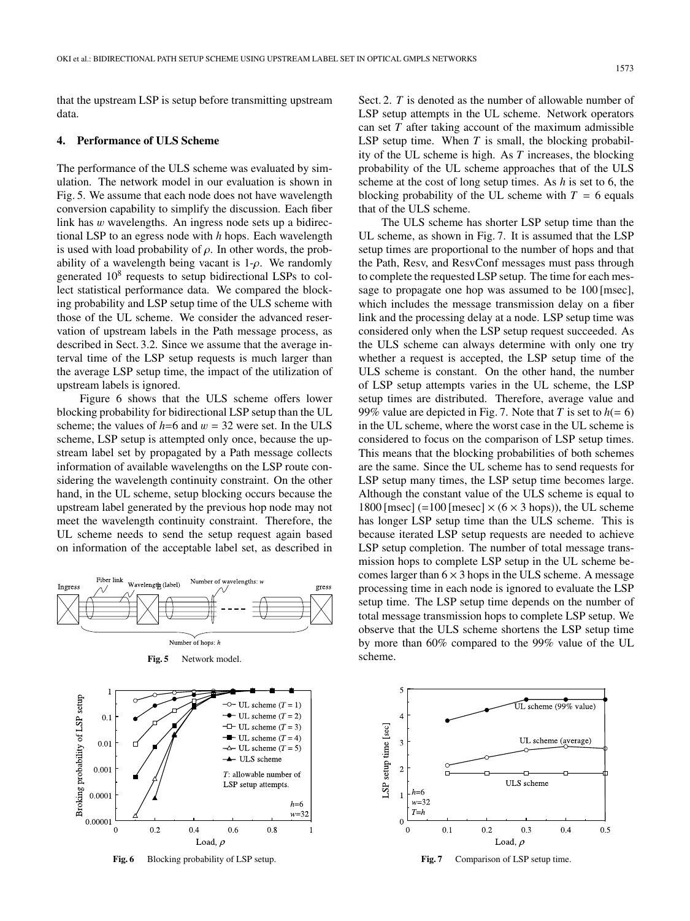that the upstream LSP is setup before transmitting upstream data.

#### **4. Performance of ULS Scheme**

The performance of the ULS scheme was evaluated by simulation. The network model in our evaluation is shown in Fig. 5. We assume that each node does not have wavelength conversion capability to simplify the discussion. Each fiber link has w wavelengths. An ingress node sets up a bidirectional LSP to an egress node with *h* hops. Each wavelength is used with load probability of  $\rho$ . In other words, the probability of a wavelength being vacant is  $1-\rho$ . We randomly generated  $10^8$  requests to setup bidirectional LSPs to collect statistical performance data. We compared the blocking probability and LSP setup time of the ULS scheme with those of the UL scheme. We consider the advanced reservation of upstream labels in the Path message process, as described in Sect. 3.2. Since we assume that the average interval time of the LSP setup requests is much larger than the average LSP setup time, the impact of the utilization of upstream labels is ignored.

Figure 6 shows that the ULS scheme offers lower blocking probability for bidirectional LSP setup than the UL scheme; the values of  $h=6$  and  $w = 32$  were set. In the ULS scheme, LSP setup is attempted only once, because the upstream label set by propagated by a Path message collects information of available wavelengths on the LSP route considering the wavelength continuity constraint. On the other hand, in the UL scheme, setup blocking occurs because the upstream label generated by the previous hop node may not meet the wavelength continuity constraint. Therefore, the UL scheme needs to send the setup request again based on information of the acceptable label set, as described in



**Fig. 5** Network model.



Fig. 6 Blocking probability of LSP setup.

Sect. 2. *T* is denoted as the number of allowable number of LSP setup attempts in the UL scheme. Network operators can set *T* after taking account of the maximum admissible LSP setup time. When  $T$  is small, the blocking probability of the UL scheme is high. As *T* increases, the blocking probability of the UL scheme approaches that of the ULS scheme at the cost of long setup times. As *h* is set to 6, the blocking probability of the UL scheme with  $T = 6$  equals that of the ULS scheme.

The ULS scheme has shorter LSP setup time than the UL scheme, as shown in Fig. 7. It is assumed that the LSP setup times are proportional to the number of hops and that the Path, Resv, and ResvConf messages must pass through to complete the requested LSP setup. The time for each message to propagate one hop was assumed to be 100 [msec], which includes the message transmission delay on a fiber link and the processing delay at a node. LSP setup time was considered only when the LSP setup request succeeded. As the ULS scheme can always determine with only one try whether a request is accepted, the LSP setup time of the ULS scheme is constant. On the other hand, the number of LSP setup attempts varies in the UL scheme, the LSP setup times are distributed. Therefore, average value and 99% value are depicted in Fig. 7. Note that *T* is set to  $h(= 6)$ in the UL scheme, where the worst case in the UL scheme is considered to focus on the comparison of LSP setup times. This means that the blocking probabilities of both schemes are the same. Since the UL scheme has to send requests for LSP setup many times, the LSP setup time becomes large. Although the constant value of the ULS scheme is equal to 1800 [msec]  $(=100$  [mesec]  $\times$   $(6 \times 3$  hops)), the UL scheme has longer LSP setup time than the ULS scheme. This is because iterated LSP setup requests are needed to achieve LSP setup completion. The number of total message transmission hops to complete LSP setup in the UL scheme becomes larger than  $6 \times 3$  hops in the ULS scheme. A message processing time in each node is ignored to evaluate the LSP setup time. The LSP setup time depends on the number of total message transmission hops to complete LSP setup. We observe that the ULS scheme shortens the LSP setup time by more than 60% compared to the 99% value of the UL scheme.



Fig. 7 Comparison of LSP setup time.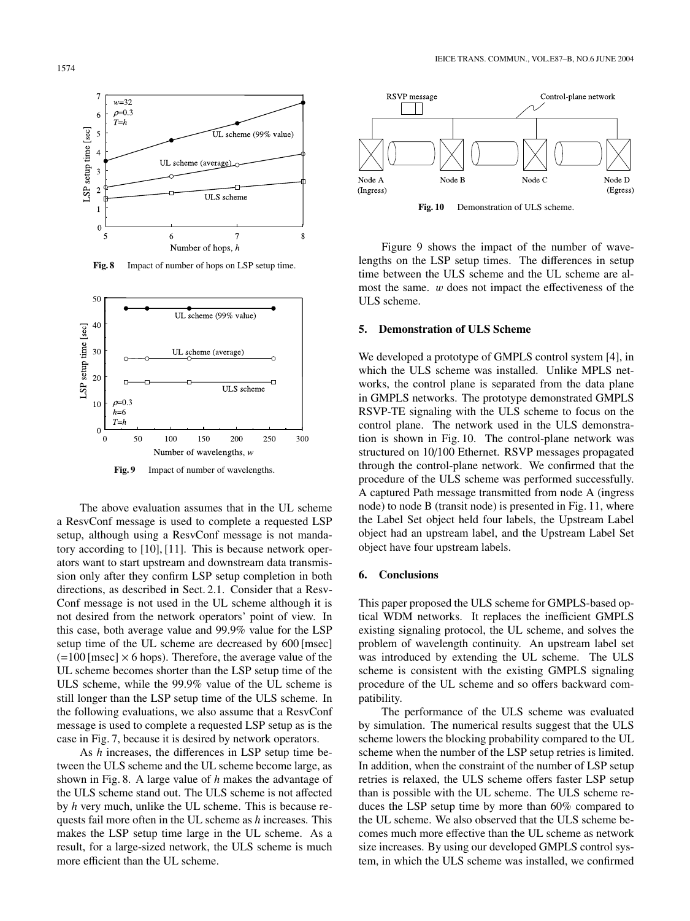

**Fig. 8** Impact of number of hops on LSP setup time.



**Fig. 9** Impact of number of wavelengths.

The above evaluation assumes that in the UL scheme a ResvConf message is used to complete a requested LSP setup, although using a ResvConf message is not mandatory according to [10], [11]. This is because network operators want to start upstream and downstream data transmission only after they confirm LSP setup completion in both directions, as described in Sect. 2.1. Consider that a Resv-Conf message is not used in the UL scheme although it is not desired from the network operators' point of view. In this case, both average value and 99.9% value for the LSP setup time of the UL scheme are decreased by 600 [msec]  $(=100$  [msec]  $\times$  6 hops). Therefore, the average value of the UL scheme becomes shorter than the LSP setup time of the ULS scheme, while the 99.9% value of the UL scheme is still longer than the LSP setup time of the ULS scheme. In the following evaluations, we also assume that a ResvConf message is used to complete a requested LSP setup as is the case in Fig. 7, because it is desired by network operators.

As *h* increases, the differences in LSP setup time between the ULS scheme and the UL scheme become large, as shown in Fig. 8. A large value of *h* makes the advantage of the ULS scheme stand out. The ULS scheme is not affected by *h* very much, unlike the UL scheme. This is because requests fail more often in the UL scheme as *h* increases. This makes the LSP setup time large in the UL scheme. As a result, for a large-sized network, the ULS scheme is much more efficient than the UL scheme.



Figure 9 shows the impact of the number of wavelengths on the LSP setup times. The differences in setup time between the ULS scheme and the UL scheme are almost the same. w does not impact the effectiveness of the ULS scheme.

#### **5. Demonstration of ULS Scheme**

We developed a prototype of GMPLS control system [4], in which the ULS scheme was installed. Unlike MPLS networks, the control plane is separated from the data plane in GMPLS networks. The prototype demonstrated GMPLS RSVP-TE signaling with the ULS scheme to focus on the control plane. The network used in the ULS demonstration is shown in Fig. 10. The control-plane network was structured on 10/100 Ethernet. RSVP messages propagated through the control-plane network. We confirmed that the procedure of the ULS scheme was performed successfully. A captured Path message transmitted from node A (ingress node) to node B (transit node) is presented in Fig. 11, where the Label Set object held four labels, the Upstream Label object had an upstream label, and the Upstream Label Set object have four upstream labels.

#### **6. Conclusions**

This paper proposed the ULS scheme for GMPLS-based optical WDM networks. It replaces the inefficient GMPLS existing signaling protocol, the UL scheme, and solves the problem of wavelength continuity. An upstream label set was introduced by extending the UL scheme. The ULS scheme is consistent with the existing GMPLS signaling procedure of the UL scheme and so offers backward compatibility.

The performance of the ULS scheme was evaluated by simulation. The numerical results suggest that the ULS scheme lowers the blocking probability compared to the UL scheme when the number of the LSP setup retries is limited. In addition, when the constraint of the number of LSP setup retries is relaxed, the ULS scheme offers faster LSP setup than is possible with the UL scheme. The ULS scheme reduces the LSP setup time by more than 60% compared to the UL scheme. We also observed that the ULS scheme becomes much more effective than the UL scheme as network size increases. By using our developed GMPLS control system, in which the ULS scheme was installed, we confirmed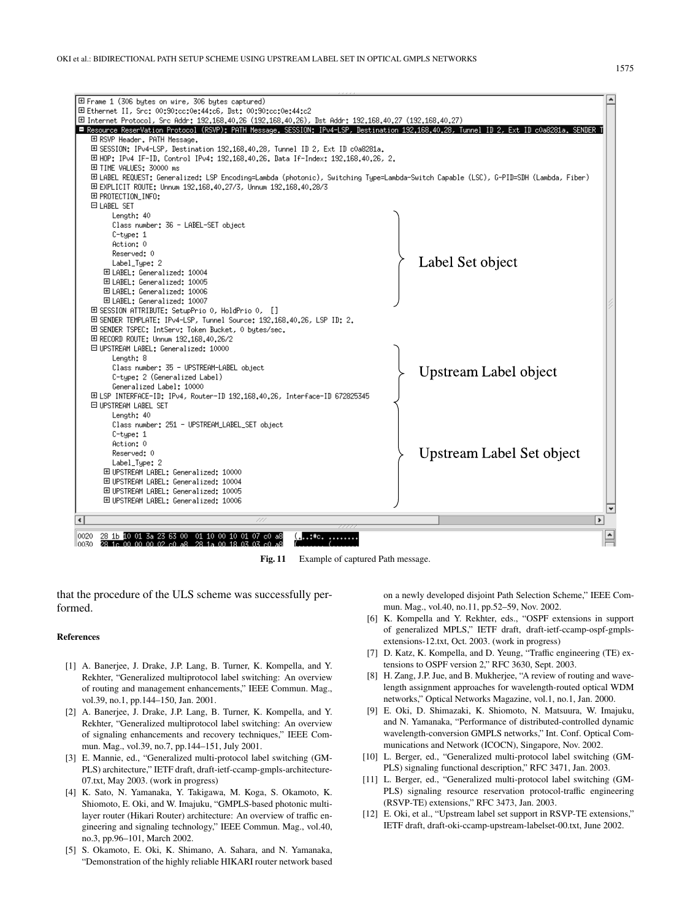

Fig. 11 Example of captured Path message.

that the procedure of the ULS scheme was successfully performed.

#### **References**

- [1] A. Banerjee, J. Drake, J.P. Lang, B. Turner, K. Kompella, and Y. Rekhter, "Generalized multiprotocol label switching: An overview of routing and management enhancements," IEEE Commun. Mag., vol.39, no.1, pp.144–150, Jan. 2001.
- [2] A. Banerjee, J. Drake, J.P. Lang, B. Turner, K. Kompella, and Y. Rekhter, "Generalized multiprotocol label switching: An overview of signaling enhancements and recovery techniques," IEEE Commun. Mag., vol.39, no.7, pp.144–151, July 2001.
- [3] E. Mannie, ed., "Generalized multi-protocol label switching (GM-PLS) architecture," IETF draft, draft-ietf-ccamp-gmpls-architecture-07.txt, May 2003. (work in progress)
- [4] K. Sato, N. Yamanaka, Y. Takigawa, M. Koga, S. Okamoto, K. Shiomoto, E. Oki, and W. Imajuku, "GMPLS-based photonic multilayer router (Hikari Router) architecture: An overview of traffic engineering and signaling technology," IEEE Commun. Mag., vol.40, no.3, pp.96–101, March 2002.
- [5] S. Okamoto, E. Oki, K. Shimano, A. Sahara, and N. Yamanaka, "Demonstration of the highly reliable HIKARI router network based

on a newly developed disjoint Path Selection Scheme," IEEE Commun. Mag., vol.40, no.11, pp.52–59, Nov. 2002.

- [6] K. Kompella and Y. Rekhter, eds., "OSPF extensions in support of generalized MPLS," IETF draft, draft-ietf-ccamp-ospf-gmplsextensions-12.txt, Oct. 2003. (work in progress)
- [7] D. Katz, K. Kompella, and D. Yeung, "Traffic engineering (TE) extensions to OSPF version 2," RFC 3630, Sept. 2003.
- [8] H. Zang, J.P. Jue, and B. Mukherjee, "A review of routing and wavelength assignment approaches for wavelength-routed optical WDM networks," Optical Networks Magazine, vol.1, no.1, Jan. 2000.
- [9] E. Oki, D. Shimazaki, K. Shiomoto, N. Matsuura, W. Imajuku, and N. Yamanaka, "Performance of distributed-controlled dynamic wavelength-conversion GMPLS networks," Int. Conf. Optical Communications and Network (ICOCN), Singapore, Nov. 2002.
- [10] L. Berger, ed., "Generalized multi-protocol label switching (GM-PLS) signaling functional description," RFC 3471, Jan. 2003.
- [11] L. Berger, ed., "Generalized multi-protocol label switching (GM-PLS) signaling resource reservation protocol-traffic engineering (RSVP-TE) extensions," RFC 3473, Jan. 2003.
- [12] E. Oki, et al., "Upstream label set support in RSVP-TE extensions," IETF draft, draft-oki-ccamp-upstream-labelset-00.txt, June 2002.